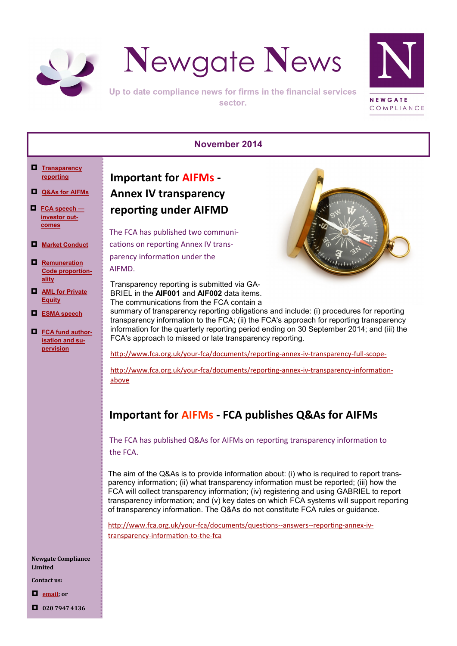<span id="page-0-0"></span>



Up to date compliance news for firms in the financial services sector.



#### **November 2014**

- **[Transparency](#page-0-0)  [reporting](#page-0-0)**
- **[Q&As for AIFMs](#page-0-0)**
- **[FCA speech](#page-1-0)  [investor out](#page-1-0)[comes](#page-1-0)**
- **[Market Conduct](#page-1-0)**
- **[Remuneration](#page-1-0)  [Code proportion](#page-1-0)[ality](#page-1-0)**
- **[AML for Private](#page-2-0)  [Equity](#page-2-0)**
- **[ESMA speech](#page-2-0)**
- **[FCA fund author](#page-2-0)[isation](#page-2-0) and su[pervision](#page-2-0)**

**Important for AIFMs - Annex IV transparency reporting under AIFMD**

The FCA has published two communications on reporting Annex IV transparency information under the AIFMD.

Transparency reporting is submitted via GA-BRIEL in the **AIF001** and **AIF002** data items. The communications from the FCA contain a



summary of transparency reporting obligations and include: (i) procedures for reporting transparency information to the FCA; (ii) the FCA's approach for reporting transparency information for the quarterly reporting period ending on 30 September 2014; and (iii) the FCA's approach to missed or late transparency reporting.

[http://www.fca.org.uk/your](http://www.fca.org.uk/your-fca/documents/reporting-annex-iv-transparency-full-scope-)-fca/documents/reporting-annex-iv-transparency-full-scope-

[http://www.fca.org.uk/your](http://www.fca.org.uk/your-fca/documents/reporting-annex-iv-transparency-information-above)-fca/documents/reporting-annex-iv-transparency-information[above](http://www.fca.org.uk/your-fca/documents/reporting-annex-iv-transparency-information-above)

# **Important for AIFMs - FCA publishes Q&As for AIFMs**

The FCA has published Q&As for AIFMs on reporting transparency information to the FCA.

The aim of the Q&As is to provide information about: (i) who is required to report transparency information; (ii) what transparency information must be reported; (iii) how the FCA will collect transparency information; (iv) registering and using GABRIEL to report transparency information; and (v) key dates on which FCA systems will support reporting of transparency information. The Q&As do not constitute FCA rules or guidance.

[http://www.fca.org.uk/your](http://www.fca.org.uk/your-fca/documents/questions--answers--reporting-annex-iv-transparency-information-to-the-fca)-fca/documents/questions--answers--reporting-annex-iv[transparency](http://www.fca.org.uk/your-fca/documents/questions--answers--reporting-annex-iv-transparency-information-to-the-fca)-information-to-the-fca

**Newgate Compliance Limited**

**Contact us:**

**[email;](mailto:info@newgatecompliance.com?subject=Email%20from%20Newgate%20News) or**

**020 7947 4136**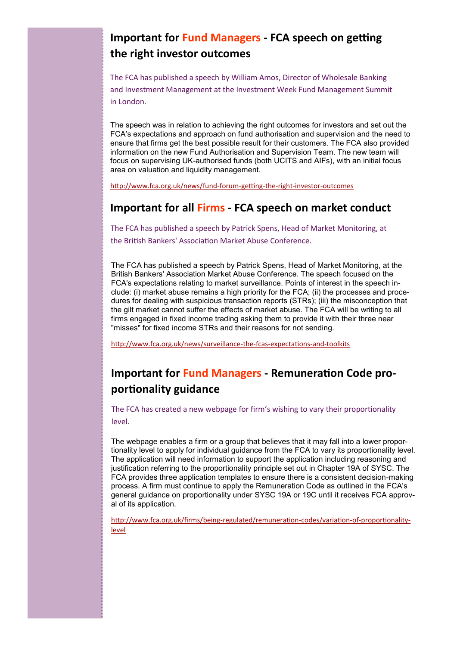# <span id="page-1-0"></span>**Important for Fund Managers - FCA speech on getting the right investor outcomes**

The FCA has published a speech by William Amos, Director of Wholesale Banking and Investment Management at the Investment Week Fund Management Summit in London.

The speech was in relation to achieving the right outcomes for investors and set out the FCA's expectations and approach on fund authorisation and supervision and the need to ensure that firms get the best possible result for their customers. The FCA also provided information on the new Fund Authorisation and Supervision Team. The new team will focus on supervising UK-authorised funds (both UCITS and AIFs), with an initial focus area on valuation and liquidity management.

[http://www.fca.org.uk/news/fund](http://www.fca.org.uk/news/fund-forum-getting-the-right-investor-outcomes)-forum-getting-the-right-investor-outcomes

#### **Important for all Firms - FCA speech on market conduct**

The FCA has published a speech by Patrick Spens, Head of Market Monitoring, at the British Bankers' Association Market Abuse Conference.

The FCA has published a speech by Patrick Spens, Head of Market Monitoring, at the British Bankers' Association Market Abuse Conference. The speech focused on the FCA's expectations relating to market surveillance. Points of interest in the speech include: (i) market abuse remains a high priority for the FCA; (ii) the processes and procedures for dealing with suspicious transaction reports (STRs); (iii) the misconception that the gilt market cannot suffer the effects of market abuse. The FCA will be writing to all firms engaged in fixed income trading asking them to provide it with their three near "misses" for fixed income STRs and their reasons for not sending.

[http://www.fca.org.uk/news/surveillance](http://www.fca.org.uk/news/surveillance-the-fcas-expectations-and-toolkits)-the-fcas-expectations-and-toolkits

## **Important for Fund Managers - Remuneration Code proportionality guidance**

The FCA has created a new webpage for firm's wishing to vary their proportionality level.

The webpage enables a firm or a group that believes that it may fall into a lower proportionality level to apply for individual guidance from the FCA to vary its proportionality level. The application will need information to support the application including reasoning and justification referring to the proportionality principle set out in Chapter 19A of SYSC. The FCA provides three application templates to ensure there is a consistent decision-making process. A firm must continue to apply the Remuneration Code as outlined in the FCA's general guidance on proportionality under SYSC 19A or 19C until it receives FCA approval of its application.

[http://www.fca.org.uk/firms/being](http://www.fca.org.uk/firms/being-regulated/remuneration-codes/variation-of-proportionality-level)-regulated/remuneration-codes/variation-of-proportionality[level](http://www.fca.org.uk/firms/being-regulated/remuneration-codes/variation-of-proportionality-level)